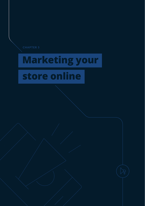

# **Marketing your**

## **store online**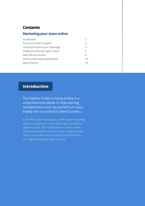## <span id="page-1-0"></span>**Contents**

## **Marketing your store online**

| Introduction                       |         |
|------------------------------------|---------|
| Track and monitor analytics        | 3       |
| Use social media to your advantage | 4       |
| Create and share the right content | 5       |
| Keep SEO top of mind               | Б       |
| Find out more about going online   | $10 \,$ |
| About PayFast                      | 10      |

## **Introduction**

The PayFast Guide to Going Online is a comprehensive ebook to help aspiring entrepreneurs such as yourself turn your hobby into a successful online business.

In this fifth chapter of the guide, we offer expert marketing tips on how to get your online store's name out there to attract business. This includes advice on how to create SEO optimised website content to attract organic website visitors, how to effectively incorporate social media into your digital marketing strategy and more.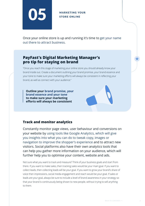<span id="page-2-0"></span>

## STORE ONLINE

Once your online store is up and running it's time to get your name out there to attract business.

## **PayFast's Digital Marketing Manager's pro tip for staying on brand**

"Once you reach this stage of marketing your online store you should already know your brand inside out. Create a document outlining your brand promise, your brand essence and your tone to make sure your marketing efforts will always be consistent in reflecting your brand, as well as connect with your audience."

**Outline your brand promise, your brand essence and your tone to make sure your marketing efforts will always be consistent**

## **Track and monitor analytics**

Constantly monitor page views, user behaviour and conversions on your website by using tools like Google Analytics, which will give you insights into what you can do to tweak copy, images or navigation to improve the shopper's experience and to attract new visitors. Social platforms also have their own analytics tools that can help you gather more information on your audience, which will further help you to optimise your content, website and ads.

Not sure what you want to track and measure? Think of your business goals and start from there. If you want to make sales, then tracking sales would be your main goal. If you want to collect leads, then collecting leads will be your goal. If you want to grow your brand's share of voice then impressions, social media engagement and reach would be your goal. If sales or leads are your goal, always be sure to include a level of brand awareness in your strategy so that your brand is continuously being shown to new people, without trying to sell anything to them.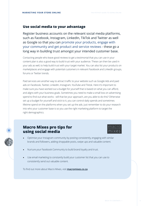#### **Use social media to your advantage**

Register business accounts on the relevant social media platforms, such as Facebook, Instagram, LinkedIn, TikTok and Twitter as well as Google so that you can promote your products, engage with your community and get product and service reviews - these go a long way in building trust amongst your intended customer base.

Contacting people who leave good reviews to get a testimonial that you can use in your content plan is also a good way to build trust with your audience. These can then be used in your ads as well, to help build trust with your target market. You can also list your products on marketplaces and engage with potential customers in relevant Facebook and LinkedIn groups, forums or Twitter trends.

Paid services are another way to attract traffic to your website such as Google Ads and paid ads on Facebook, Twitter, LinkedIn, Instagram, YouTube and Tiktok. Here it's important to make sure you have worked out a budget for yourself that is based on what you can afford, and aligns with your business goals. Sometimes you need to make a small loss on advertising spend to find out what works - will that be your approach, are you able to do this? Otherwise set up a budget for yourself and stick to it, you can control daily spends and sometimes lifetime spend on the platforms when you set up the ads. Just remember to do your research into who your customer base is so you use the right marketing platform to target the right demographics.

## **Macro Mixes pro tips for using social media**



- Optimise your Instagram community by posting consistently, engaging with similar brands and followers, adding shoppable posts, swipe ups and valuable content.
- Nurture your Facebook Community to build brand loyalty and trust.
- Use email marketing to constantly build your customer list that you can use to consistently send out valuable content.

To find out more about Macro Mixes, visit **[macromixes.co.za](https://macromixes.co.za/shop/)**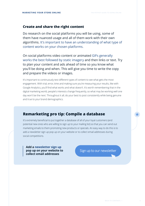#### <span id="page-4-0"></span>**Create and share the right content**

Do research on the social platforms you will be using, some of them have nuanced usage and all of them work with their own algorithms. It's important to have an understanding of what type of content works on your chosen platforms.

On social platforms video content or animated GIFs generally works the best followed by static imagery and then links or text. Try to plan your content and ads ahead of time so you know what you'll be doing and when. This will give you time to write the copy and prepare the videos or images.

It's important to continuously test different types of content to see what gets the most engagement. With trial, error, time and making sure you're measuring your results, like with Google Analytics, you'll find what works and what doesn't. It's worth remembering that in the digital marketing world, people's interests change frequently, so what may be working well one day won't be the next. Throughout it all, do your best to post consistently while being genuine and true to your brand demographics.

## **Remarketing pro tip: Compile a database**

It's extremely beneficial to put together a database of all of your loyal customers (and potential new ones who are willing to sign up to your mailing list) so that you can send out marketing emails to them promoting new products or specials. An easy way to do this is to add a newsletter sign up pop up on your website or to collect email addresses during social competitions.

**Add a newsletter sign up pop up on your website to collect email addresses**

Sign up to our newsletter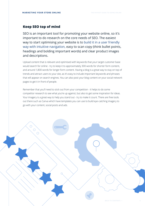## <span id="page-5-0"></span>**Keep SEO top of mind**

SEO is an important tool for promoting your website online, so it's important to do research on the core needs of SEO. The easiest way to start optimising your website is to build it in a user friendly way with intuitive navigation, easy to scan copy (think bullet points, headings and bolding important words) and clear product images and descriptions.

Upload content that is relevant and optimised with keywords that your target customer base would search for online - try to keep it to approximately 300 words for shorter form content, and around 1,800 words for longer form content. Having a blog is a great way to stay on top of trends and attract users to your site, as it's easy to include important keywords and phrases that will appear on search engines. You can also post your blog content on your social network pages to get it in front of people.

Remember that you'll need to stick out from your competition - it helps to do some competitor research to see what you're up against, but also to get some inspiration for ideas. Your imagery is a great way to help you stand out - try to make it count. There are free tools out there such as Canva which have templates you can use to build eye-catching imagery to go with your content, social posts and ads.

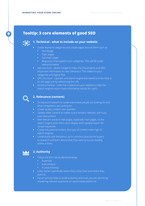## **Tooltip: 3 core elements of good SEO**



#### **1. Technical - what to include on your website**

- **•** Create keyword categories and create pages around them such as:
	- **•** Homepage
	- **•** Topic pages
	- **•** Sub-topic pages
	- **•** Blog posts that support your categories. This will fall under relevance below.
- **•** Site structure allows Google to index the site properly and offer important information on user behaviour. This relates to your categories and logical flow.
- **•** URL structure a person and search engine bot needs to know what is on the page just by referencing the URL
- **•** Schema markup code that is placed on your website to help the search engines return more informative results for users.



#### **2. Relevance (content)**

- **•** Do keyword research to understand what people are looking for and what competitors are ranking for.
- **•** Create quality content over quantity.
- **•** Update older content to makes sure it remains relevant, don't just post new content
- **•** Add relevant words to web pages, especially main pages, so the search engine picks them up to display when people search for certain keywords.
- **•** Create educational content, this type of content ranks high on search engines.
- **•** Understand user behaviour, as it's common practice for buyers to research and learn about what they want to buy by reading online articles.



#### **3. Authority**

- **•** Follow the EAT rule by demonstrating:
	- **•** Expertise
	- **•** Authoritative
	- **•** Trustworthiness
- **•** Links matter, specifically where they come from and where they point to.
- **•** Forum activity helps to build authority and trust, you can do this by answering relevant questions on social media platforms.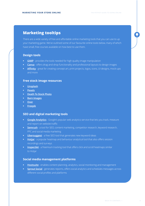## **Marketing tooltips**

There are a wide variety of free and affordable online marketing tools that you can use to up your marketing game. We've outlined some of our favourite online tools below, many of which have small, free courses available on how best to use them.

#### **Design tools**

- **• [GIMP](https://www.gimp.org/)** provides the tools needed for high quality image manipulation
- **• [Canva](https://www.canva.com/en_gb/)** offers drag-and-drop functionality and professional layouts to design images
- **• [Affinity](https://affinity.serif.com/en-us/)** great for creating concept art, print projects, logos, icons, UI designs, mock-ups and more

#### **Free stock image resources**

- **• [Unsplash](https://unsplash.com/)**
- **• [Pexels](https://www.pexels.com/)**
- **• [Death To Stock Photo](https://deathtothestockphoto.com/)**
- **• [Barn Images](https://barnimages.com/)**
- **• [Over](https://www.madewithover.com/)**
- **• [Freepik](https://www.freepik.com/home)**

#### **SEO and digital marketing tools**

- **• [Google Analytics](https://analytics.google.com/analytics/web/#/)** Google's popular web analytics service that lets you track, measure and report on website traffic
- **• [Semrush](https://www.semrush.com/)** a tool for SEO, content marketing, competitor research, keyword research, PPC and social media marketing
- **• [Ubersuggest](https://neilpatel.com/ubersuggest/)** a free SEO tool that generates new keyword ideas
- **• [Hotjar](https://www.hotjar.com/)** a popular heatmap and behaviour analytical tool that also offers session recordings and surveys
- **• [Inspectlet](https://www.inspectlet.com/)** a freemium tracking tool that offers click and scroll heatmaps similar to Hotjar

#### **Social media management platforms**

- **• [Hootsuite](https://www.hootsuite.com/)** enables content planning, analytics, social monitoring and management
- **• [Sprout Social](https://sproutsocial.com/)** generates reports, offers social analytics and schedules messages across different social profiles and platforms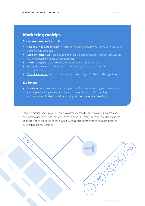## <span id="page-8-0"></span>**Marketing tooltips**

#### **Social media-specific tools**

- **[Facebook Audience Insights](https://www.facebook.com/business/insights/tools/audience-insights)** a tool to get to know your customers to better shape your Facebook ad campaigns
- **[LinkedIn Insight Tag](https://business.linkedin.com/marketing-solutions/insight-tag?trk=sem_lms_gaw&src=go-pa&veh=LMS_EMEA_Deprioritized_ROE_Search_Google-Brand_DR-PRS_Broad_Features-Alpha_All_English_Core_457065017719__linkedin%20insight_c__kwd-808912160153_9216596369&mcid=6612464045041733646&cname=LMS_EMEA_Deprioritized_ROE_Search_Google-Brand_DR-PRS_Broad_Features-Alpha_All_English_Core&camid=9216596369&asid=94475527678&targetid=kwd-808912160153&crid=457065017719&placement=&dev=c&ends=1&gclid=Cj0KCQiA-aGCBhCwARIsAHDl5x9-noyATOdc6-9NrcSD-5m9A2EkUwYY9pFQJBZXIY_IdFTlZEVpbR8aAhZYEALw_wcB&gclsrc=aw.ds)** a tool to optimise your LinkedIn campaigns, retarget your website visitor, and learn more about your audiences
- **• [Twitter analytics](https://analytics.twitter.com/about)** a tool to measure and boost your impact on Twitter
- **[Instagram analytics](https://help.instagram.com/788388387972460)** a tool to learn more about your account's followers and performance
- **• [Youtube analytics](https://www.youtube.com/)** a tool to measure the success of your YouTube marketing efforts

#### **Mailer tool**

 $\bigcirc$ 

 $\bigcap$ 

 $\bigcirc$ 

**• [Mailchimp](https://mailchimp.com/)** - a popular email marketing platform for creating, sending and tracking email campaigns that integrates with ecommerce platforms such as Shopify, Magento and Prestashop. Find out it Mailchimp **i[ntegrates with your platform here](https://mailchimp.com/integrations)**

Once everything is set up you will need to constantly monitor and tweak your images, copy and metadata to make sure your website has a good SEO ranking and good visitor traffic. It's good practice to check exit pages in Google Analytics to see the last page a user accessed before they left your website.